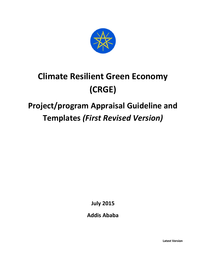

# **Climate Resilient Green Economy (CRGE)**

## **Project/program Appraisal Guideline and Templates** *(First Revised Version)*

**July 2015**

**Addis Ababa**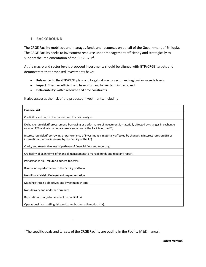#### **1. BACKGROUND**

 $\overline{a}$ 

The CRGE Facility mobilizes and manages funds and resources on behalf of the Government of Ethiopia. The CRGE Facility seeks to investment resource under management efficiently and strategically to support the implementation of the CRGE-GTP<sup>1</sup>.

At the macro and sector levels proposed investments should be aligned with GTP/CRGE targets and demonstrate that proposed investments have:

- **Relevance**: to the GTP/CRGE plans and targets at macro, sector and regional or woreda levels
- **Impact**: Effective, efficient and have short and longer term impacts, and;
- **Deliverability**: within resource and time constraints.

It also assesses the risk of the proposed investments, including:

### **Financial risk:** Credibility and depth of economic and financial analysis Exchange rate risk (if procurement, borrowing or performance of investment is materially affected by changes in exchange rates on ETB and international currencies in use by the Facility or the EE) Interest rate risk (if borrowing or performance of investment is materially affected by changes in interest rates on ETB or international currencies in use by the Facility or the EE) Clarity and reasonableness of pathway of financial flow and reporting Credibility of EE in terms of financial management to manage funds and regularly report Performance risk (failure to adhere to terms) Risks of non-performance to the Facility portfolio **Non-Financial risk: Delivery and implementation** Meeting strategic objectives and investment criteria Non-delivery and underperformance Reputational risk (adverse effect on credibility) Operational risk (staffing risks and other business disruption risk).

<sup>&</sup>lt;sup>1</sup> The specific goals and targets of the CRGE Facility are outline in the Facility M&E manual.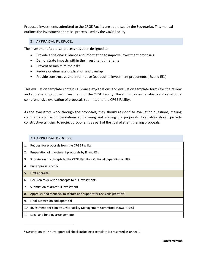Proposed investments submitted to the CRGE Facility are appraised by the Secretariat. This manual outlines the investment appraisal process used by the CRGE Facility.

#### 2. APPRAISAL PURPOSE:

The Investment Appraisal process has been designed to:

- Provide additional guidance and information to improve Investment proposals
- Demonstrate impacts within the investment timeframe
- Prevent or minimize the risks
- Reduce or eliminate duplication and overlap
- Provide constructive and informative feedback to investment proponents (IEs and EEs)

This evaluation template contains guidance explanations and evaluation template forms for the review and appraisal of proposed investment for the CRGE Facility. The aim is to assist evaluators in carry out a comprehensive evaluation of proposals submitted to the CRGE Facility.

As the evaluators work through the proposals, they should respond to evaluation questions, making comments and recommendations and scoring and grading the proposals. Evaluators should provide constructive criticism to project proponents as part of the goal of strengthening proposals.

#### 2.1 APPRAISAL PROCESS:

 $\overline{a}$ 

| 1. | Request for proposals from the CRGE Facility                              |
|----|---------------------------------------------------------------------------|
| 2. | Preparation of Investment proposals by IE and EEs                         |
| 3. | Submission of concepts to the CRGE Facility - Optional depending on RFP   |
| 4. | Pre-appraisal check2                                                      |
| 5. | First appraisal                                                           |
| 6. | Decision to develop concepts to full investments                          |
| 7. | Submission of draft full investment                                       |
| 8. | Appraisal and feedback to sectors and support for revisions (iterative)   |
| 9. | Final submission and appraisal                                            |
|    | 10. Investment decision by CRGE Facility Management Committee (CRGE-F-MC) |
|    | 11. Legal and funding arrangements                                        |

 $2$  Description of The Pre-appraisal check including a template is presented as annex 1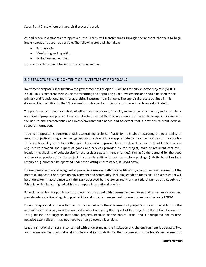Steps 4 and 7 and where this appraisal process is used.

As and when investments are approved, the Facility will transfer funds through the relevant channels to begin implementation as soon as possible. The following steps will be taken:

- Fund transfer
- Monitoring and reporting
- Evaluation and learning

These are explained in detail in the operational manual.

#### 2.2 STRUCTURE AND CONTENT OF INVESTMENT PROPOSALS

Investment proposals should follow the government of Ethiopia "Guidelines for public sector projects" (MOFED 2004). This is comprehensive guide to structuring and appraising public investments and should be used as the primary and foundational tools for appraising investments in Ethiopia. The appraisal process outlined in this document is in addition to the "Guidelines for public sector projects" and does not replace or duplicate it.

The public sector project appraisal guideline covers economic, financial, technical, environmental, social, and legal appraisal of proposed project. However, it is to be noted that this appraisal criterion are to be applied in line with the nature and characteristics of climate/environment finance and to extent that it provides relevant decision support information.

Technical Appraisal is concerned with ascertaining technical feasibility. It is about assessing project's ability to meet its objectives using a technology and standards which are appropriate to the circumstances of the country. Technical feasibility study forms the basis of technical appraisal. Issues captured include, but not limited to, size (e.g. future demand and supply of goods and services provided by the project; scale of recurrent cost etc.); location ( availability of suitable site for the project ; government priorities); timing (is the demand for the good and services produced by the project is currently sufficient); and technology package ( ability to utilize local resource e.g labor; can be operated under the existing circumstance; is O&M easy?)

Environmental and social safeguard appraisal is conserved with the identification, analysis and management of the potential impact of the project on environment and community, including gender dimensions. This assessment will be undertaken in accordance with the ESSF approved by the Government of the Federal Democratic Republic of Ethiopia, which is also aligned with the accepted international practice.

Financial appraisal for public sector projects is concerned with determining long term budgetary implication and provide adequate financing plan; profitability and provide management information such as the cost of O&M.

Economic appraisal on the other hand is concerned with the assessment of project's costs and benefits from the national point of views, in other words it is about analyzing the impact of the project on the national economy. The guideline also suggests that some projects, because of the nature, scale, and if anticipated not to have negative externalities, may not need to undergo economic analysis.

Legal/ institutional analysis is concerned with understanding the institution and the environment it operates. Two focus areas are the organizational structure and its suitability for the purpose and if the body's management is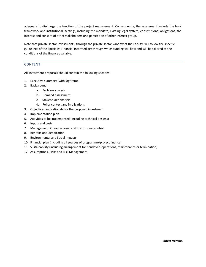adequate to discharge the function of the project management. Consequently, the assessment include the legal framework and institutional settings, including the mandate, existing legal system, constitutional obligations, the interest and consent of other stakeholders and perception of other interest group.

Note that private sector investments, through the private sector window of the Facility, will follow the specific guidelines of the Specialist Financial Intermediary through which funding will flow and will be tailored to the conditions of the finance available.

#### CONTENT:

All investment proposals should contain the following sections:

- 1. Executive summary (with log frame)
- 2. Background
	- a. Problem analysis
	- b. Demand assessment
	- c. Stakeholder analysis
	- d. Policy context and implications
- 3. Objectives and rationale for the proposed investment
- 4. Implementation plan
- 5. Activities to be implemented (including technical designs)
- 6. Inputs and costs
- 7. Management, Organisational and Institutional context
- 8. Benefits and Justification
- 9. Environmental and Social Impacts
- 10. Financial plan (including all sources of programme/project finance)
- 11. Sustainability (including arrangement for handover, operations, maintenance or termination)
- 12. Assumptions, Risks and Risk Management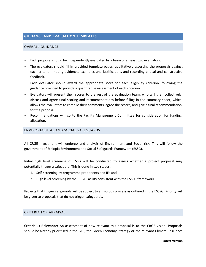#### **GUIDANCE AND EVALUATION TEMPLATES**

#### OVERALL GUIDANCE

- Each proposal should be independently evaluated by a team of at least two evaluators.
- The evaluators should fill in provided template pages, qualitatively assessing the proposals against each criterion, noting evidence, examples and justifications and recording critical and constructive feedback.
- Each evaluator should award the appropriate score for each eligibility criterion, following the guidance provided to provide a quantitative assessment of each criterion.
- Evaluators will present their scores to the rest of the evaluation team, who will then collectively discuss and agree final scoring and recommendations before filling in the summary sheet, which allows the evaluators to compile their comments, agree the scores, and give a final recommendation for the proposal.
- Recommendations will go to the Facility Management Committee for consideration for funding allocation.

#### ENVIRONMENTAL AND SOCIAL SAFEGUARDS

All CRGE investment will undergo and analysis of Environment and Social risk. This will follow the government of Ethiopia Environment and Social Safeguards Framework (ESSG).

Initial high level screening of ESSG will be conducted to assess whether a project proposal may potentially trigger a safeguard. This is done in two stages:

- 1. Self-screening by programme proponents and IEs and;
- 2. High level screening by the CRGE Facility consistent with the ESSSG framework.

Projects that trigger safeguards will be subject to a rigorous process as outlined in the ESSSG. Priority will be given to proposals that do not trigger safeguards.

#### CRITERIA FOR APRAISAL:

**Criteria 1: Relevance:** An assessment of how relevant this proposal is to the CRGE vision. Proposals should be already prioritised in the GTP, the Green Economy Strategy or the relevant Climate Resilience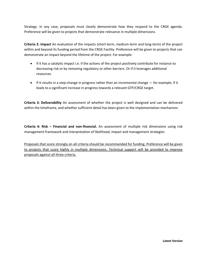Strategy. In any case, proposals must clearly demonstrate how they respond to the CRGE agenda. Preference will be given to projects that demonstrate relevance in multiple dimensions.

**Criteria 2: Impact** An evaluation of the impacts (short-term, medium-term and long-term) of the project within and beyond its funding period from the CRGE Facility. Preference will be given to projects that can demonstrate an impact beyond the lifetime of the project. For example:

- If it has a catalytic impact i.e. if the actions of the project positively contribute for instance to decreasing risk or by removing regulatory or other barriers. Or if it leverages additional resources.
- If it results in a step-change in progress rather than an incremental change for example, if it leads to a significant increase in progress towards a relevant GTP/CRGE target.

**Criteria 3: Deliverability** An assessment of whether the project is well designed and can be delivered within the timeframe, and whether sufficient detail has been given to the implementation mechanism.

**Criteria 4: Risk – Financial and non-financial.** An assessment of multiple risk dimensions using risk management framework and interpretation of likelihood, impact and management strategies

Proposals that score strongly on all criteria should be recommended for funding. Preference will be given to projects that score highly in multiple dimensions. Technical support will be provided to improve proposals against all three criteria.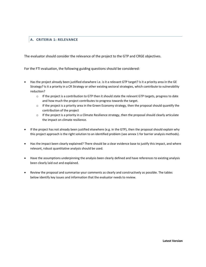#### **A. CRITERIA 1: RELEVANCE**

The evaluator should consider the relevance of the project to the GTP and CRGE objectives.

For the FTI evaluation, the following guiding questions should be considered:

- Has the project already been justified elsewhere i.e. is it a relevant GTP target? Is it a priority area in the GE Strategy? Is it a priority in a CR Strategy or other existing sectoral strategies, which contribute to vulnerability reduction?
	- $\circ$  If the project is a contribution to GTP then it should state the relevant GTP targets, progress to date and how much the project contributes to progress towards the target.
	- $\circ$  If the project is a priority area in the Green Economy strategy, then the proposal should quantify the contribution of the project
	- $\circ$  If the project is a priority in a Climate Resilience strategy, then the proposal should clearly articulate the impact on climate resilience.
- If the project has not already been justified elsewhere (e.g. in the GTP), then the proposal should explain why this project approach is the right solution to an identified problem (see annex 1 for barrier analysis methods).
- Has the impact been clearly explained? There should be a clear evidence base to justify this impact, and where relevant, robust quantitative analysis should be used.
- Have the assumptions underpinning the analysis been clearly defined and have references to existing analysis been clearly laid out and explained.
- Review the proposal and summarise your comments as clearly and constructively as possible. The tables below identify key issues and information that the evaluator needs to review.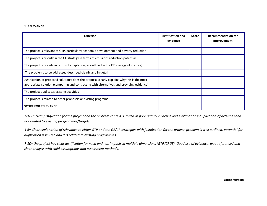#### **1. RELEVANCE**

| <b>Criterion</b>                                                                                                                                                                          | Justification and<br>evidence | <b>Score</b> | <b>Recommendation for</b><br>Improvement |
|-------------------------------------------------------------------------------------------------------------------------------------------------------------------------------------------|-------------------------------|--------------|------------------------------------------|
| The project is relevant to GTP, particularly economic development and poverty reduction                                                                                                   |                               |              |                                          |
| The project is priority in the GE strategy in terms of emissions reduction potential                                                                                                      |                               |              |                                          |
| The project is priority in terms of adaptation, as outlined in the CR strategy (if it exists)                                                                                             |                               |              |                                          |
| The problems to be addressed described clearly and in detail                                                                                                                              |                               |              |                                          |
| Justification of proposed solutions: does the proposal clearly explains why this is the most<br>appropriate solution (comparing and contracting with alternatives and providing evidence) |                               |              |                                          |
| The project duplicates existing activities                                                                                                                                                |                               |              |                                          |
| The project is related to other proposals or existing programs                                                                                                                            |                               |              |                                          |
| <b>SCORE FOR RELEVANCE</b>                                                                                                                                                                |                               |              |                                          |

*1-3= Unclear justification for the project and the problem context. Limited or poor quality evidence and explanations; duplication of activities and not related to existing programmes/targets.*

*4-6= Clear explanation of relevance to either GTP and the GE/CR strategies with justification for the project, problem is well outlined, potential for duplication is limited and it is related to existing programmes*

*7-10= the project has clear justification for need and has impacts in multiple dimensions (GTP/CRGE). Good use of evidence, well-referenced and clear analysis with solid assumptions and assessment methods.*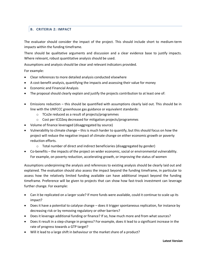#### **B. CRITERIA 2: IMPACT**

The evaluator should consider the impact of the project. This should include short to medium-term impacts within the funding timeframe.

There should be qualitative arguments and discussion and a clear evidence base to justify impacts. Where relevant, robust quantitative analysis should be used.

Assumptions and analysis should be clear and relevant indicators provided.

For example:

- Clear references to more detailed analysis conducted elsewhere
- A cost-benefit analysis, quantifying the impacts and assessing their value for money
- Economic and Financial Analysis
- The proposal should clearly explain and justify the projects contribution to at least one of:
- Emissions reduction this should be quantified with assumptions clearly laid out. This should be in line with the UNFCCC greenhouse gas guidance or equivalent standards:
	- o TCo2e reduced as a result of projects/programmes
	- o Cost per tCO2eq decreased for mitigation projects/programmes
- Volume of finance leveraged (disaggregated by source)
- Vulnerability to climate change this is much harder to quantify, but this should focus on how the project will reduce the negative impact of climate change on either economic growth or poverty reduction efforts.
	- o Total number of direct and indirect beneficiaries (disaggregated by gender)
- Co-benefits the impacts of the project on wider economic, social or environmental vulnerability. For example, on poverty reduction, accelerating growth, or improving the status of women

Assumptions underpinning the analysis and references to existing analysis should be clearly laid out and explained. The evaluation should also assess the impact beyond the funding timeframe, in particular to assess how the relatively limited funding available can have additional impact beyond the funding timeframe. Preference will be given to projects that can show how fast-track investment can leverage further change. For example:

- Can it be replicated on a larger scale? If more funds were available, could it continue to scale up its impact?
- Does it have a potential to catalyse change does it trigger spontaneous replication, for instance by decreasing risk or by removing regulatory or other barriers?
- Does it leverage additional funding or finance? If so, how much more and from what sources?
- Does it result in a step-change in progress? For example, does it lead to a significant increase in the rate of progress towards a GTP target?
- Will it lead to a large shift in behaviour or the market share of a product?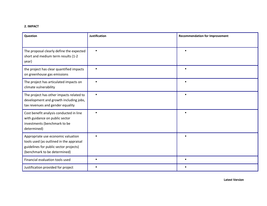#### **2. IMPACT**

| Question                                                                                                                                                 | <b>Justification</b> | <b>Recommendation for Improvement</b> |
|----------------------------------------------------------------------------------------------------------------------------------------------------------|----------------------|---------------------------------------|
| The proposal clearly define the expected<br>short and medium term results (1-2<br>year)                                                                  | $\blacksquare$       |                                       |
| the project has clear quantified impacts<br>on greenhouse gas emissions                                                                                  | п                    | $\blacksquare$                        |
| The project has articulated impacts on<br>climate vulnerability                                                                                          | $\blacksquare$       | $\blacksquare$                        |
| The project has other impacts related to<br>development and growth including jobs,<br>tax revenues and gender equality                                   | $\blacksquare$       |                                       |
| Cost benefit analysis conducted in line<br>with guidance on public sector<br>investments (benchmark to be<br>determined)                                 | $\blacksquare$       |                                       |
| Appropriate use economic valuation<br>tools used (as outlined in the appraisal<br>guidelines for public sector projects)<br>(benchmark to be determined) | $\blacksquare$       | $\blacksquare$                        |
| Financial evaluation tools used                                                                                                                          | п                    | ٠                                     |
| Justification provided for project                                                                                                                       | п                    | п                                     |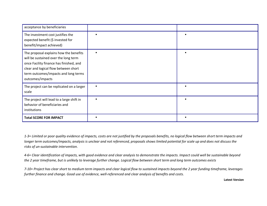| acceptance by beneficiaries                                                                                                                                                                                                   |                |  |
|-------------------------------------------------------------------------------------------------------------------------------------------------------------------------------------------------------------------------------|----------------|--|
| The investment cost justifies the<br>expected benefit (\$ invested for<br>benefit/impact achieved)                                                                                                                            |                |  |
| The proposal explains how the benefits<br>will be sustained over the long term<br>once Facility finance has finished, and<br>clear and logical flow between short<br>term outcomes/impacts and long terms<br>outcomes/impacts |                |  |
| The project can be replicated on a larger<br>scale                                                                                                                                                                            | $\blacksquare$ |  |
| The project will lead to a large shift in<br>behavior of beneficiaries and<br>institutions                                                                                                                                    |                |  |
| <b>Total SCORE FOR IMPACT</b>                                                                                                                                                                                                 |                |  |

*1-3= Limited or poor quality evidence of impacts, costs are not justified by the proposals benefits, no logical flow between short term impacts and longer term outcomes/impacts, analysis is unclear and not referenced, proposals shows limited potential for scale up and does not discuss the risks of un-sustainable intervention.*

*4-6= Clear identification of impacts, with good evidence and clear analysis to demonstrate the impacts. Impact could well be sustainable beyond the 2 year timeframe, but is unlikely to leverage further change. Logical flow between short term and long term outcomes exists*

*7-10= Project has clear short to medium term impacts and clear logical flow to sustained impacts beyond the 2 year funding timeframe, leverages further finance and change. Good use of evidence, well-referenced and clear analysis of benefits and costs.*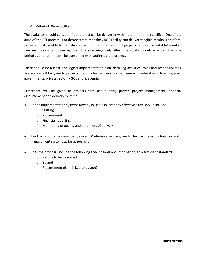#### **C. Criteria 3: Deliverability**

The evaluator should consider if the project can be delivered within the timeframe specified. One of the aims of the FTI process is to demonstrate that the CRGE Facility can deliver tangible results. Therefore, projects must be able to be delivered within the time period. If projects require the establishment of new institutions or processes, then this may negatively affect the ability to deliver within the time period as a lot of time will be consumed with setting up the project.

There should be a clear and logical implementation plan, detailing activities, roles and responsibilities. Preference will be given to projects that involve partnerships between e.g. Federal ministries, Regional governments, private sector, NGOs and academia.

Preference will be given to projects that use existing proven project management, financial disbursement and delivery systems.

- Do the implementation systems already exist? If so, are they effective? This should include
	- o Staffing
	- o Procurement
	- o Financial reporting
	- o Monitoring of quality and timeliness of delivery
- If not, what other systems can be used? Preference will be given to the use of existing financial and management systems as far as possible.
- Does the proposal include the following specific tools and information, to a sufficient standard:
	- o Results to be delivered
	- o Budget
	- o Procurement plan (linked to budget)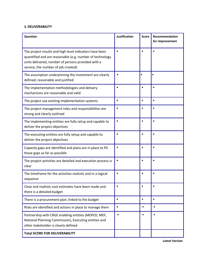#### **3. DELIVERABILITY**

| Question                                                                                                                                                                                                         | <b>Justification</b> | <b>Score</b>   | Recommendation<br>for improvement |
|------------------------------------------------------------------------------------------------------------------------------------------------------------------------------------------------------------------|----------------------|----------------|-----------------------------------|
| The project results and high level indicators have been<br>quantified and are reasonable (e.g. number of technology<br>units delivered, number of persons provided with a<br>service, the number of job created) | $\blacksquare$       |                | $\blacksquare$                    |
| The assumption underpinning the investment are clearly<br>defined, reasonable and justified                                                                                                                      |                      | $\blacksquare$ | $\blacksquare$                    |
| The implementation methodologies and delivery<br>mechanisms are reasonable and valid                                                                                                                             |                      |                |                                   |
| The project use existing implementation systems                                                                                                                                                                  | Ξ                    | ٠              | $\blacksquare$                    |
| The project management roles and responsibilities are<br>strong and clearly outlined                                                                                                                             | п                    |                | $\blacksquare$                    |
| The implementing entities are fully setup and capable to<br>deliver the project objectives                                                                                                                       |                      |                | $\blacksquare$                    |
| The executing entities are fully setup and capable to<br>deliver the project objectives                                                                                                                          |                      | п              | $\blacksquare$                    |
| Capacity gaps are identified and plans are in place to fill<br>those gaps as far as possible                                                                                                                     |                      |                | $\blacksquare$                    |
| The project activities are detailed and execution process is<br>clear                                                                                                                                            |                      | п              | $\blacksquare$                    |
| The timeframe for the activities realistic and in a logical<br>sequence                                                                                                                                          |                      | $\blacksquare$ | $\blacksquare$                    |
| Clear and realistic cost estimates have been made and<br>there is a detailed budget                                                                                                                              |                      |                | п                                 |
| There is a procurement plan, linked to the budget                                                                                                                                                                | $\blacksquare$       | $\blacksquare$ | $\blacksquare$                    |
| Risks are identified and actions in place to manage them                                                                                                                                                         | $\blacksquare$       | $\blacksquare$ | $\blacksquare$                    |
| Partnership with CRGE enabling entities (MOFED, MEF,<br>National Planning Commission), Executing entities and<br>other stakeholder is clearly defined                                                            | ٠                    |                |                                   |
| <b>Total SCORE FOR DELIVERABILITY</b>                                                                                                                                                                            |                      |                |                                   |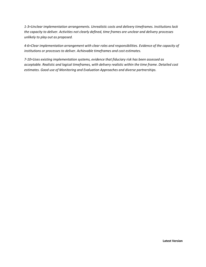*1-3=Unclear implementation arrangements. Unrealistic costs and delivery timeframes. Institutions lack the capacity to deliver. Activities not clearly defined, time frames are unclear and delivery processes unlikely to play out as proposed.*

*4-6=Clear implementation arrangement with clear roles and responsibilities. Evidence of the capacity of institutions or processes to deliver. Achievable timeframes and cost estimates.*

*7-10=Uses existing implementation systems, evidence that fiduciary risk has been assessed as acceptable. Realistic and logical timeframes, with delivery realistic within the time frame. Detailed cost estimates. Good use of Monitoring and Evaluation Approaches and diverse partnerships.*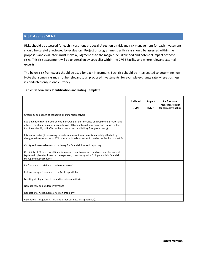#### **RISK ASSESSMENT:**

Risks should be assessed for each investment proposal. A section on risk and risk management for each investment should be carefully reviewed by evaluators. Project or programme specific risks should be assessed within the proposals and evaluators must make a judgment as to the magnitude, likelihood and potential impact of those risks. This risk assessment will be undertaken by specialist within the CRGE Facility and where relevant external experts.

The below risk framework should be used for each investment. Each risk should be interrogated to determine how. Note that some risks may not be relevant to all proposed investments, for example exchange rate where business is conducted only in one currency.

#### **Table: General Risk Identification and Rating Template**

|                                                                                                                                                                                                                                                                           | Likelihood<br>H/M/L | Impact<br>H/M/L | Performance<br>measures/trigger<br>for corrective action |
|---------------------------------------------------------------------------------------------------------------------------------------------------------------------------------------------------------------------------------------------------------------------------|---------------------|-----------------|----------------------------------------------------------|
| Credibility and depth of economic and financial analysis                                                                                                                                                                                                                  |                     |                 |                                                          |
| Exchange rate risk (if procurement, borrowing or performance of investment is materially<br>affected by changes in exchange rates on ETB and international currencies in use by the<br>Facility or the EE, or if affected by access to and availability foreign currency) |                     |                 |                                                          |
| Interest rate risk (if borrowing or performance of investment is materially affected by<br>changes in interest rates on ETB or international currencies in use by the Facility or the EE)                                                                                 |                     |                 |                                                          |
| Clarity and reasonableness of pathway for financial flow and reporting                                                                                                                                                                                                    |                     |                 |                                                          |
| Credibility of EE in terms of financial management to manage funds and regularly report<br>(systems in place for financial management, consistency with Ethiopian public financial<br>management procedures)                                                              |                     |                 |                                                          |
| Performance risk (failure to adhere to terms)                                                                                                                                                                                                                             |                     |                 |                                                          |
| Risks of non-performance to the Facility portfolio                                                                                                                                                                                                                        |                     |                 |                                                          |
| Meeting strategic objectives and investment criteria                                                                                                                                                                                                                      |                     |                 |                                                          |
| Non-delivery and underperformance                                                                                                                                                                                                                                         |                     |                 |                                                          |
| Reputational risk (adverse effect on credibility)                                                                                                                                                                                                                         |                     |                 |                                                          |
| Operational risk (staffing risks and other business disruption risk).                                                                                                                                                                                                     |                     |                 |                                                          |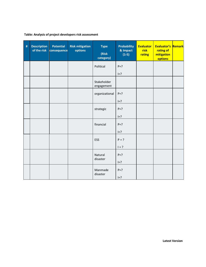#### **Table: Analysis of project developers risk assessment**

| $\frac{1}{4}$ | <b>Description</b><br>of the risk | <b>Potential</b><br>consequence | <b>Risk mitigation</b><br>options | <b>Type</b><br>(Risk<br>category) | <b>Probability</b><br>& Impact<br>$(1-5)$ | <b>Evaluator</b><br>risk<br>rating | <b>Evaluator's Remark</b><br>rating of<br>mitigation<br>options |  |
|---------------|-----------------------------------|---------------------------------|-----------------------------------|-----------------------------------|-------------------------------------------|------------------------------------|-----------------------------------------------------------------|--|
|               |                                   |                                 |                                   | Political                         | $P = ?$                                   |                                    |                                                                 |  |
|               |                                   |                                 |                                   |                                   | $I = ?$                                   |                                    |                                                                 |  |
|               |                                   |                                 |                                   | Stakeholder<br>engagement         |                                           |                                    |                                                                 |  |
|               |                                   |                                 |                                   | organizational                    | $P = ?$                                   |                                    |                                                                 |  |
|               |                                   |                                 |                                   |                                   | $I = ?$                                   |                                    |                                                                 |  |
|               |                                   |                                 |                                   | strategic                         | $P = ?$                                   |                                    |                                                                 |  |
|               |                                   |                                 |                                   |                                   | $I = ?$                                   |                                    |                                                                 |  |
|               |                                   |                                 |                                   | financial                         | $P = ?$                                   |                                    |                                                                 |  |
|               |                                   |                                 |                                   |                                   | $I=?$                                     |                                    |                                                                 |  |
|               |                                   |                                 |                                   | ESS                               | $P = ?$                                   |                                    |                                                                 |  |
|               |                                   |                                 |                                   |                                   | $1 = ?$                                   |                                    |                                                                 |  |
|               |                                   |                                 |                                   | Natural<br>disaster               | $P = ?$                                   |                                    |                                                                 |  |
|               |                                   |                                 |                                   |                                   | $I = ?$                                   |                                    |                                                                 |  |
|               |                                   |                                 |                                   | Manmade<br>disaster               | $P = ?$                                   |                                    |                                                                 |  |
|               |                                   |                                 |                                   |                                   | $I = ?$                                   |                                    |                                                                 |  |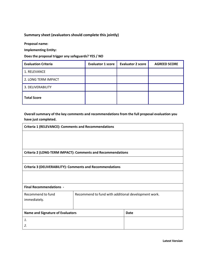#### **Summary sheet (evaluators should complete this jointly)**

**Proposal name:**

**Implementing Entity:**

**Does the proposal trigger any safeguards? YES / NO**

| <b>Evaluation Criteria</b> | Evaluator 1 score | <b>Evaluator 2 score</b> | <b>AGREED SCORE</b> |
|----------------------------|-------------------|--------------------------|---------------------|
| 1. RELEVANCE               |                   |                          |                     |
| 2. LONG TERM IMPACT        |                   |                          |                     |
| 3. DELIVERABILITY          |                   |                          |                     |
| <b>Total Score</b>         |                   |                          |                     |

**Overall summary of the key comments and recommendations from the full proposal evaluation you have just completed.**

**Criteria 1 (RELEVANCE): Comments and Recommendations Criteria 2 (LONG-TERM IMPACT): Comments and Recommendations Criteria 3 (DELIVERABILITY): Comments and Recommendations Final Recommendations -** Recommend to fund immediately. Recommend to fund with additional development work. **Name and Signature of Evaluators | Date** *1.*

*2.*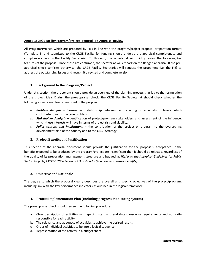#### **Annex-1: CRGE Facility Program/Project Proposal Pre-Appraisal Review**

All Program/Project, which are prepared by FIEs in line with the program/project proposal preparation format (Template B) and submitted to the CRGE Facility for funding should undergo pre-appraisal completeness and compliance check by the Facility Secretariat. To this end, the secretariat will quickly review the following key features of the proposal. Once these are confirmed, the secretariat will embark on the fledged appraisal. If the preappraisal check confirms otherwise; the CRGE Facility Secretariat will request the proponent (i.e. the FIE) to address the outstanding issues and resubmit a revised and complete version.

#### **1. Background to the Program/Project**

Under this section, the proponent should provide an overview of the planning process that led to the formulation of the project idea. During the pre-appraisal check, the CRGE Facility Secretariat should check whether the following aspects are clearly described in the proposal.

- *a. Problem Analysis* Cause-effect relationship between factors acting on a variety of levels, which contribute towards the core problem.
- *b. Stakeholder Analysis* –identification of project/program stakeholders and assessment of the influence, which these interests will have in terms of project risk and viability.
- *c. Policy context and Implications* the contribution of the project or program to the overarching development plan of the country and to the CRGE Strategy.

#### **2. Project Benefits and Justification**

This section of the appraisal document should provide the justification for the proposals' acceptance. If the benefits expected to be produced by the program/project are insignificant then it should be rejected, regardless of the quality of its preparation, management structure and budgeting. *[Refer to the Appraisal Guidelines for Public Sector Projects, MOFED 2006 Sections 9.3, 9.4 and 9.5 on how to measure benefits].*

#### **3. Objective and Rationale**

The degree to which the proposal clearly describes the overall and specific objectives of the project/program, including link with the key performance indicators as outlined in the logical framework.

#### **4. Project Implementation Plan (Including progress Monitoring system)**

The pre-appraisal check should review the following procedures;

- a. Clear description of activities with specific start and end dates, resource requirements and authority responsible for each activity
- b. The relevance and adequacy of activities to achieve the desired results
- c. Order of individual activities to be into a logical sequence
- d. Representation of the activity in a budget sheet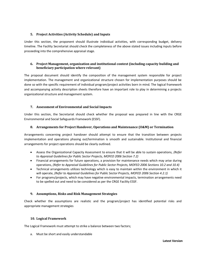#### **5. Project Activities (Activity Schedule) and Inputs**

Under this section, the proponent should illustrate individual activities, with corresponding budget, delivery timeline. The Facility Secretariat should check the completeness of the above stated issues including inputs before proceeding into the comprehensive appraisal stage.

#### **6. Project Management, organization and institutional context (including capacity building and beneficiary participation where relevant)**

The proposal document should identify the composition of the management system responsible for project implementation. The management and organizational structure chosen for implementation purposes should be done so with the specific requirement of individual program/project activities born in mind. The logical framework and accompanying activity description sheets therefore have an important role to play in determining a projects organizational structure and management system.

#### **7. Assessment of Environmental and Social Impacts**

Under this section, the Secretariat should check whether the proposal was prepared in line with the CRGE Environmental and Social Safeguards Framework (ESSF).

#### **8. Arrangements for Project Handover, Operations and Maintenance (O&M) or Termination**

Arrangements concerning project handover should attempt to ensure that the transition between projects implementation and operations phasing out/termination is smooth and sustainable. Institutional and financial arrangements for project operations should be clearly outlined.

- Assess the Organizational Capacity Assessment to ensure that it will be able to sustain operations, *(Refer to Appraisal Guidelines for Public Sector Projects, MOFED 2006 Section 7.2)*
- Financial arrangements for future operations, a provision for maintenance needs which may arise during operations, *(Refer to Appraisal Guidelines for Public Sector Projects, MOFED 2006 Sections 10.2 and 10.4)*
- Technical arrangements utilizes technology which is easy to maintain within the environment in which it will operate, *(Refer to Appraisal Guidelines for Public Sector Projects, MOFED 2006 Section 4.2.1)*
- For programs/projects, which may have negative environmental impacts, termination arrangements need to be spelled out and need to be considered as per the CRGE Facility ESSF.

#### **9. Assumptions, Risks and Risk Management Strategies**

Check whether the assumptions are realistic and the program/project has identified potential risks and appropriate management strategies

#### **10. Logical Framework**

The Logical Framework must attempt to strike a balance between two factors;

a. Must be short and easily understandable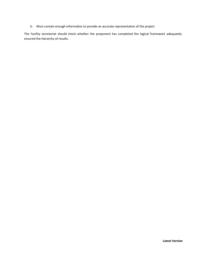b. Must contain enough information to provide an accurate representation of the project

The Facility secretariat should check whether the proponent has completed the logical framework adequately ensured the hierarchy of results.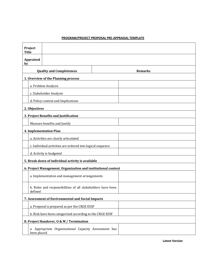#### **PROGRAM/PROJECT PROPOSAL PRE-APPRAISAL TEMPLATE**

| Project<br><b>Title</b>                                  |                                                               |  |                |
|----------------------------------------------------------|---------------------------------------------------------------|--|----------------|
| <b>Appraised</b><br>by                                   |                                                               |  |                |
|                                                          | <b>Quality and Completeness</b>                               |  | <b>Remarks</b> |
|                                                          | 1. Overview of the Planning process                           |  |                |
|                                                          | a. Problem Analysis                                           |  |                |
|                                                          | c. Stakeholder Analysis                                       |  |                |
|                                                          | d. Policy context and Implications                            |  |                |
| 2. Objectives                                            |                                                               |  |                |
|                                                          | 3. Project Benefits and Justification                         |  |                |
|                                                          | Measure benefits and Justify                                  |  |                |
|                                                          | 4. Implementation Plan                                        |  |                |
|                                                          | a. Activities are clearly articulated                         |  |                |
|                                                          | c. Individual activities are ordered into logical sequence    |  |                |
|                                                          | d. Activity is budgeted                                       |  |                |
|                                                          | 5. Break down of individual activity is available             |  |                |
|                                                          | 6. Project Management, Organization and institutional context |  |                |
|                                                          | a. Implementation and management arrangements                 |  |                |
| defined                                                  | b. Roles and responsibilities of all stakeholders have been   |  |                |
|                                                          | 7. Assessment of Environmental and Social Impacts             |  |                |
|                                                          | a. Proposal is prepared as per the CRGE ESSF                  |  |                |
| b. Risk have been categorized according to the CRGE ESSF |                                                               |  |                |
|                                                          | 8. Project Handover, 0 & M / Termination                      |  |                |
| been placed                                              | a. Appropriate Organizational Capacity Assessment has         |  |                |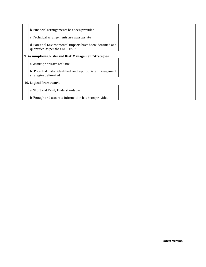| b. Financial arrangements has been provided                                                    |  |
|------------------------------------------------------------------------------------------------|--|
| c. Technical arrangements are appropriate                                                      |  |
| d. Potential Environmental impacts have been identified and<br>quantified as per the CRGE ESSF |  |
| 9. Assumptions, Risks and Risk Management Strategies                                           |  |
| a. Assumptions are realistic                                                                   |  |
| b. Potential risks identified and appropriate management<br>strategies delineated              |  |
| 10. Logical Framework                                                                          |  |
| a. Short and Easily Understandable                                                             |  |
| b. Enough and accurate information has been provided                                           |  |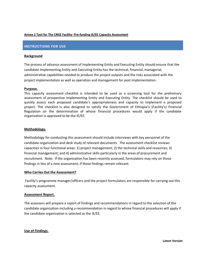#### **Annex 2 Tool for The CRGE Facility- Pre-funding IE/EE Capacity Assessment**

#### **INSTRUCTIONS FOR USE**

#### **Background**

The process of advance assessment of Implementing Entity and Executing Entity should ensure that the candidate Implementing Entity and Executing Entity has the technical, financial, managerial, administrative capabilities needed to produce the project outputs and the risks associated with the project implementation as well as operation and management for post implementation.

#### **Purpose.**

This capacity assessment checklist is intended to be used as a screening tool for the preliminary assessment of prospective Implementing Entity and Executing Entity. The checklist should be used to quickly assess each proposed candidate's appropriateness and capacity to implement a proposed project. The checklist is also designed to satisfy the Government of Ethiopia's (Facility's) Financial Regulation on the determination of whose financial procedures would apply if the candidate organization is approved to be the IE/EE.

#### **Methodology.**

Methodology for conducting this assessment should include interviews with key personnel of the candidate organization and desk study of relevant documents. The assessment checklist reviews capacities in four functional areas: 1) project management; 2) the technical skills and resources; 3) financial management; and 4) administrative skills particularly in the areas of procurement and recruitment. Note: If the organization has been recently assessed, formulators may rely on those findings in lieu of a new assessment, if those findings remain relevant.

#### **Who Carries Out the Assessment?**

Facility's programme manager/officers and the project formulators are responsible for carrying out this capacity assessment.

#### **Assessment Report.**

The assessors will prepare a report of findings and recommendations in regard to the selection of the candidate organization including a recommendation in regard to whose financial procedures will apply if the candidate organization is selected as the IE/EE.

#### **Use of Findings.**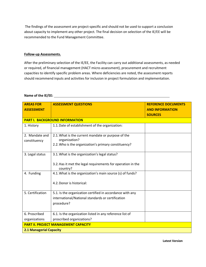The findings of the assessment are project-specific and should not be used to support a conclusion about capacity to implement any other project. The final decision on selection of the IE/EE will be recommended to the Fund Management Committee.

#### **Follow-up Assessments.**

After the preliminary selection of the IE/EE, the Facility can carry out additional assessments, as needed or required, of financial management (HACT micro-assessment), procurement and recruitment capacities to identify specific problem areas. Where deficiencies are noted, the assessment reports should recommend inputs and activities for inclusion in project formulation and implementation.

#### **Name of the IE/EE:**

| <b>AREAS FOR</b><br><b>ASSESSMENT</b> | <b>ASSESSMENT QUESTIONS</b>                                                                                                  | <b>REFERENCE DOCUMENTS</b><br><b>AND INFORMATION</b><br><b>SOURCES</b> |  |  |
|---------------------------------------|------------------------------------------------------------------------------------------------------------------------------|------------------------------------------------------------------------|--|--|
|                                       | <b>PART I. BACKGROUND INFORMATION</b>                                                                                        |                                                                        |  |  |
| 1. History                            | 1.1. Date of establishment of the organization:                                                                              |                                                                        |  |  |
| 2. Mandate and<br>constituency        | 2.1. What is the current mandate or purpose of the<br>organization?<br>2.2. Who is the organization's primary constituency?  |                                                                        |  |  |
| 3. Legal status                       | 3.1. What is the organization's legal status?<br>3.2. Has it met the legal requirements for operation in the<br>country?     |                                                                        |  |  |
| 4. Funding                            | 4.1. What is the organization's main source (s) of funds?<br>4.2. Donor is historical:                                       |                                                                        |  |  |
| 5. Certification                      | 5.1. Is the organization certified in accordance with any<br>international/National standards or certification<br>procedure? |                                                                        |  |  |
| 6. Proscribed<br>organizations        | 6.1. Is the organization listed in any reference list of<br>proscribed organizations?                                        |                                                                        |  |  |
|                                       | <b>PART II. PROJECT MANAGEMENT CAPACITY</b>                                                                                  |                                                                        |  |  |
| <b>2.1 Managerial Capacity</b>        |                                                                                                                              |                                                                        |  |  |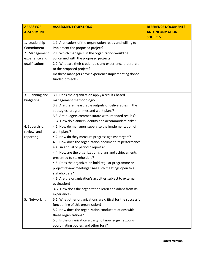| <b>AREAS FOR</b>  | <b>ASSESSMENT QUESTIONS</b>                                   | <b>REFERENCE DOCUMENTS</b> |
|-------------------|---------------------------------------------------------------|----------------------------|
| <b>ASSESSMENT</b> |                                                               | <b>AND INFORMATION</b>     |
|                   |                                                               | <b>SOURCES</b>             |
| 1. Leadership     | 1.1. Are leaders of the organization ready and willing to     |                            |
| Commitment        | implement the proposed project?                               |                            |
| 2. Management     | 2.1. Which managers in the organization would be              |                            |
| experience and    | concerned with the proposed project?                          |                            |
| qualifications    | 2.2. What are their credentials and experience that relate    |                            |
|                   | to the proposed project?                                      |                            |
|                   | Do these managers have experience implementing donor-         |                            |
|                   | funded projects?                                              |                            |
|                   |                                                               |                            |
|                   |                                                               |                            |
| 3. Planning and   | 3.1. Does the organization apply a results-based              |                            |
| budgeting         | management methodology?                                       |                            |
|                   | 3.2. Are there measurable outputs or deliverables in the      |                            |
|                   | strategies, programmes and work plans?                        |                            |
|                   | 3.3. Are budgets commensurate with intended results?          |                            |
|                   | 3.4. How do planners identify and accommodate risks?          |                            |
| 4. Supervision,   | 4.1. How do managers supervise the implementation of          |                            |
| review, and       | work plans?                                                   |                            |
| reporting         | 4.2. How do they measure progress against targets?            |                            |
|                   | 4.3. How does the organization document its performance,      |                            |
|                   | e.g., in annual or periodic reports?                          |                            |
|                   | 4.4. How are the organization's plans and achievements        |                            |
|                   | presented to stakeholders?                                    |                            |
|                   | 4.5. Does the organization hold regular programme or          |                            |
|                   | project review meetings? Are such meetings open to all        |                            |
|                   | stakeholders?                                                 |                            |
|                   | 4.6. Are the organization's activities subject to external    |                            |
|                   | evaluation?                                                   |                            |
|                   | 4.7. How does the organization learn and adapt from its       |                            |
|                   | experience?                                                   |                            |
| 5. Networking     | 5.1. What other organizations are critical for the successful |                            |
|                   | functioning of this organization?                             |                            |
|                   | 5.2. How does the organization conduct relations with         |                            |
|                   | these organizations?                                          |                            |
|                   | 5.3. Is the organization a party to knowledge networks,       |                            |
|                   | coordinating bodies, and other fora?                          |                            |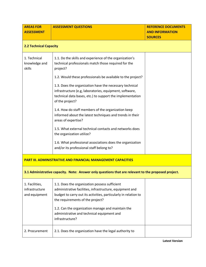| <b>AREAS FOR</b><br><b>ASSESSMENT</b>                               | <b>ASSESSMENT QUESTIONS</b>                                                                                                                                                                                      | <b>REFERENCE DOCUMENTS</b><br><b>AND INFORMATION</b><br><b>SOURCES</b> |
|---------------------------------------------------------------------|------------------------------------------------------------------------------------------------------------------------------------------------------------------------------------------------------------------|------------------------------------------------------------------------|
| <b>2.2 Technical Capacity</b>                                       |                                                                                                                                                                                                                  |                                                                        |
| 1. Technical<br>knowledge and<br>skills                             | 1.1. Do the skills and experience of the organization's<br>technical professionals match those required for the<br>project?                                                                                      |                                                                        |
|                                                                     | 1.2. Would these professionals be available to the project?                                                                                                                                                      |                                                                        |
|                                                                     | 1.3. Does the organization have the necessary technical<br>infrastructure (e.g, laboratories, equipment, software,<br>technical data bases, etc.) to support the implementation<br>of the project?               |                                                                        |
|                                                                     | 1.4. How do staff members of the organization keep<br>informed about the latest techniques and trends in their<br>areas of expertise?                                                                            |                                                                        |
|                                                                     | 1.5. What external technical contacts and networks does<br>the organization utilize?                                                                                                                             |                                                                        |
|                                                                     | 1.6. What professional associations does the organization<br>and/or its professional staff belong to?                                                                                                            |                                                                        |
| <b>PART III. ADMINISTRATIVE AND FINANCIAL MANAGEMENT CAPACITIES</b> |                                                                                                                                                                                                                  |                                                                        |
|                                                                     | 3.1 Administrative capacity. Note: Answer only questions that are relevant to the proposed project.                                                                                                              |                                                                        |
| 1. Facilities,<br>infrastructure<br>and equipment                   | 1.1. Does the organization possess sufficient<br>administrative facilities, infrastructure, equipment and<br>budget to carry out its activities, particularly in relation to<br>the requirements of the project? |                                                                        |
|                                                                     | 1.2. Can the organization manage and maintain the<br>administrative and technical equipment and<br>infrastructure?                                                                                               |                                                                        |
| 2. Procurement                                                      | 2.1. Does the organization have the legal authority to                                                                                                                                                           |                                                                        |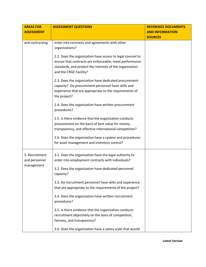| <b>AREAS FOR</b><br><b>ASSESSMENT</b>         | <b>ASSESSMENT QUESTIONS</b>                                                                                                                                                                                 | <b>REFERENCE DOCUMENTS</b><br><b>AND INFORMATION</b> |
|-----------------------------------------------|-------------------------------------------------------------------------------------------------------------------------------------------------------------------------------------------------------------|------------------------------------------------------|
|                                               |                                                                                                                                                                                                             | <b>SOURCES</b>                                       |
| and contracting                               | enter into contracts and agreements with other<br>organizations?                                                                                                                                            |                                                      |
|                                               | 2.2. Does the organization have access to legal counsel to<br>ensure that contracts are enforceable, meet performance<br>standards, and protect the interests of the organization<br>and the CRGE Facility? |                                                      |
|                                               | 2.3. Does the organization have dedicated procurement<br>capacity? Do procurement personnel have skills and<br>experience that are appropriate to the requirements of<br>the project?                       |                                                      |
|                                               | 2.4. Does the organization have written procurement<br>procedures?                                                                                                                                          |                                                      |
|                                               | 2.5. Is there evidence that the organization conducts<br>procurement on the basis of best value for money,<br>transparency, and effective international competition?                                        |                                                      |
|                                               | 2.6. Does the organization have a system and procedures<br>for asset management and inventory control?                                                                                                      |                                                      |
| 3. Recruitment<br>and personnel<br>management | 3.1. Does the organization have the legal authority to<br>enter into employment contracts with individuals?                                                                                                 |                                                      |
|                                               | 3.2. Does the organization have dedicated personnel<br>capacity?                                                                                                                                            |                                                      |
|                                               | 3.3. Do recruitment personnel have skills and experience<br>that are appropriate to the requirements of the project?                                                                                        |                                                      |
|                                               | 3.4. Does the organization have written recruitment<br>procedures?                                                                                                                                          |                                                      |
|                                               | 3.5. Is there evidence that the organization conducts<br>recruitment objectively on the basis of competition,<br>fairness, and transparency?                                                                |                                                      |
|                                               | 3.6. Does the organization have a salary scale that would                                                                                                                                                   |                                                      |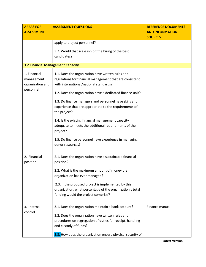| <b>AREAS FOR</b><br><b>ASSESSMENT</b>    | <b>ASSESSMENT QUESTIONS</b>                                | <b>REFERENCE DOCUMENTS</b><br><b>AND INFORMATION</b> |
|------------------------------------------|------------------------------------------------------------|------------------------------------------------------|
|                                          |                                                            | <b>SOURCES</b>                                       |
|                                          | apply to project personnel?                                |                                                      |
|                                          | 3.7. Would that scale inhibit the hiring of the best       |                                                      |
|                                          | candidates?                                                |                                                      |
|                                          |                                                            |                                                      |
| <b>3.2 Financial Management Capacity</b> |                                                            |                                                      |
| 1. Financial                             | 1.1. Does the organization have written rules and          |                                                      |
| management                               | regulations for financial management that are consistent   |                                                      |
| organization and                         | with international/national standards?                     |                                                      |
| personnel                                | 1.2. Does the organization have a dedicated finance unit?  |                                                      |
|                                          | 1.3. Do finance managers and personnel have skills and     |                                                      |
|                                          | experience that are appropriate to the requirements of     |                                                      |
|                                          | the project?                                               |                                                      |
|                                          | 1.4. Is the existing financial management capacity         |                                                      |
|                                          | adequate to meets the additional requirements of the       |                                                      |
|                                          | project?                                                   |                                                      |
|                                          | 1.5. Do finance personnel have experience in managing      |                                                      |
|                                          | donor resources?                                           |                                                      |
| 2. Financial                             | 2.1. Does the organization have a sustainable financial    |                                                      |
| position                                 | position?                                                  |                                                      |
|                                          | 2.2. What is the maximum amount of money the               |                                                      |
|                                          | organization has ever managed?                             |                                                      |
|                                          | 2.3. If the proposed project is implemented by this        |                                                      |
|                                          | organization, what percentage of the organization's total  |                                                      |
|                                          | funding would the project comprise?                        |                                                      |
|                                          |                                                            | Finance manual                                       |
| 3. Internal<br>control                   | 3.1. Does the organization maintain a bank account?        |                                                      |
|                                          | 3.2. Does the organization have written rules and          |                                                      |
|                                          | procedures on segregation of duties for receipt, handling  |                                                      |
|                                          | and custody of funds?                                      |                                                      |
|                                          | 3.3. How does the organization ensure physical security of |                                                      |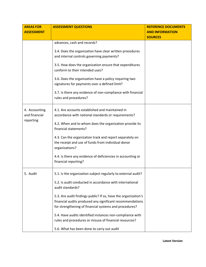| <b>AREAS FOR</b>                            | <b>ASSESSMENT QUESTIONS</b>                                                                                                      | <b>REFERENCE DOCUMENTS</b>               |
|---------------------------------------------|----------------------------------------------------------------------------------------------------------------------------------|------------------------------------------|
| <b>ASSESSMENT</b>                           |                                                                                                                                  | <b>AND INFORMATION</b><br><b>SOURCES</b> |
|                                             | advances, cash and records?                                                                                                      |                                          |
|                                             | 3.4. Does the organization have clear written procedures<br>and internal controls governing payments?                            |                                          |
|                                             | 3.5. How does the organization ensure that expenditures<br>conform to their intended uses?                                       |                                          |
|                                             | 3.6. Does the organization have a policy requiring two<br>signatures for payments over a defined limit?                          |                                          |
|                                             | 3.7. Is there any evidence of non-compliance with financial<br>rules and procedures?                                             |                                          |
| 4. Accounting<br>and financial<br>reporting | 4.1. Are accounts established and maintained in<br>accordance with national standards or requirements?                           |                                          |
|                                             | 4.2. When and to whom does the organization provide its<br>financial statements?                                                 |                                          |
|                                             | 4.3. Can the organization track and report separately on<br>the receipt and use of funds from individual donor<br>organizations? |                                          |
|                                             | 4.4. Is there any evidence of deficiencies in accounting or<br>financial reporting?                                              |                                          |
| 5. Audit                                    | 5.1. Is the organization subject regularly to external audit?                                                                    |                                          |
|                                             | 5.2. Is audit conducted in accordance with international<br>audit standards?                                                     |                                          |
|                                             | 5.3. Are audit findings public? If so, have the organization's                                                                   |                                          |
|                                             | financial audits produced any significant recommendations<br>for strengthening of financial systems and procedures?              |                                          |
|                                             |                                                                                                                                  |                                          |
|                                             | 5.4. Have audits identified instances non-compliance with<br>rules and procedures or misuse of financial resources?              |                                          |
|                                             | 5.6. What has been done to carry out audit                                                                                       |                                          |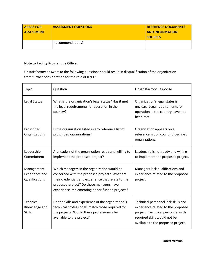| <b>AREAS FOR</b><br><u>l ASSESSMENT</u> | <b>ASSESSMENT QUESTIONS</b> | <b>REFERENCE DOCUMENTS</b><br><b>AND INFORMATION</b><br><b>SOURCES</b> |
|-----------------------------------------|-----------------------------|------------------------------------------------------------------------|
|                                         | recommendations?            |                                                                        |

#### **Note to Facility Programme Officer**

Unsatisfactory answers to the following questions should result in disqualification of the organization from further consideration for the role of IE/EE:

| <b>Topic</b>                                          | Question                                                                                                                                                                                                                                          | <b>Unsatisfactory Response</b>                                                                                                                                                       |
|-------------------------------------------------------|---------------------------------------------------------------------------------------------------------------------------------------------------------------------------------------------------------------------------------------------------|--------------------------------------------------------------------------------------------------------------------------------------------------------------------------------------|
| Legal Status                                          | What is the organization's legal status? Has it met<br>the legal requirements for operation in the<br>country?                                                                                                                                    | Organization's legal status is<br>unclear. Legal requirements for<br>operation in the country have not<br>been met.                                                                  |
| Proscribed<br>Organizations                           | Is the organization listed in any reference list of<br>proscribed organizations?                                                                                                                                                                  | Organization appears on a<br>reference list of xxxx of proscribed<br>organizations.                                                                                                  |
| Leadership<br>Commitment                              | Are leaders of the organization ready and willing to<br>implement the proposed project?                                                                                                                                                           | Leadership is not ready and willing<br>to implement the proposed project.                                                                                                            |
| Management<br><b>Experience and</b><br>Qualifications | Which managers in the organization would be<br>concerned with the proposed project? What are<br>their credentials and experience that relate to the<br>proposed project? Do these managers have<br>experience implementing donor-funded projects? | Managers lack qualifications and<br>experience related to the proposed<br>project.                                                                                                   |
| Technical<br>Knowledge and<br><b>Skills</b>           | Do the skills and experience of the organization's<br>technical professionals match those required for<br>the project? Would these professionals be<br>available to the project?                                                                  | Technical personnel lack skills and<br>experience related to the proposed<br>project. Technical personnel with<br>required skills would not be<br>available to the proposed project. |